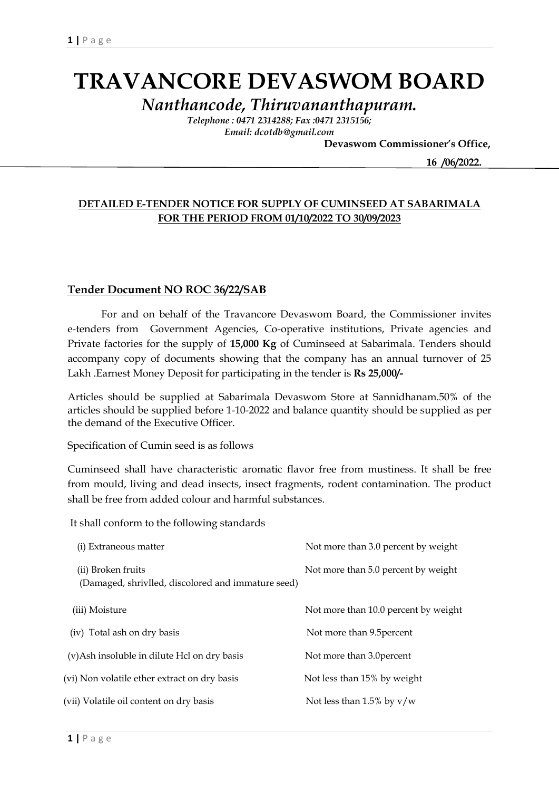# **TRAVANCORE DEVASWOM BOARD**

*Nanthancode, Thiruvananthapuram.*

*Telephone : 0471 2314288; Fax :0471 2315156; Email: dcotdb@gmail.com*

 **Devaswom Commissioner's Office,**

 **16 /06/2022.**

### **DETAILED E-TENDER NOTICE FOR SUPPLY OF CUMINSEED AT SABARIMALA FOR THE PERIOD FROM 01/10/2022 TO 30/09/2023**

### **Tender Document NO ROC 36/22/SAB**

For and on behalf of the Travancore Devaswom Board, the Commissioner invites e-tenders from Government Agencies, Co-operative institutions, Private agencies and Private factories for the supply of **15,000 Kg** of Cuminseed at Sabarimala. Tenders should accompany copy of documents showing that the company has an annual turnover of 25 Lakh .Earnest Money Deposit for participating in the tender is **Rs 25,000/-**

Articles should be supplied at Sabarimala Devaswom Store at Sannidhanam.50% of the articles should be supplied before 1-10-2022 and balance quantity should be supplied as per the demand of the Executive Officer.

Specification of Cumin seed is as follows

Cuminseed shall have characteristic aromatic flavor free from mustiness. It shall be free from mould, living and dead insects, insect fragments, rodent contamination. The product shall be free from added colour and harmful substances.

It shall conform to the following standards

| (i) Extraneous matter                                                    | Not more than 3.0 percent by weight  |
|--------------------------------------------------------------------------|--------------------------------------|
| (ii) Broken fruits<br>(Damaged, shrivlled, discolored and immature seed) | Not more than 5.0 percent by weight  |
| (iii) Moisture                                                           | Not more than 10.0 percent by weight |
| (iv) Total ash on dry basis                                              | Not more than 9.5 percent            |
| (v)Ash insoluble in dilute Hcl on dry basis                              | Not more than 3.0 percent            |
| (vi) Non volatile ether extract on dry basis                             | Not less than 15% by weight          |
| (vii) Volatile oil content on dry basis                                  | Not less than 1.5% by $v/w$          |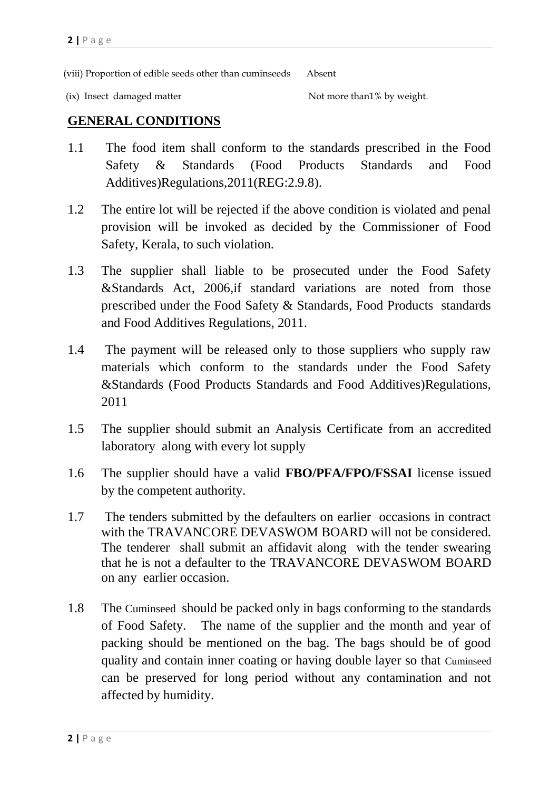(viii) Proportion of edible seeds other than cuminseeds Absent

(ix) Insect damaged matter  $\blacksquare$  Not more than  $\mathcal I$  by weight.

## **GENERAL CONDITIONS**

- 1.1 The food item shall conform to the standards prescribed in the Food Safety & Standards (Food Products Standards and Food Additives)Regulations,2011(REG:2.9.8).
- 1.2 The entire lot will be rejected if the above condition is violated and penal provision will be invoked as decided by the Commissioner of Food Safety, Kerala, to such violation.
- 1.3 The supplier shall liable to be prosecuted under the Food Safety &Standards Act, 2006,if standard variations are noted from those prescribed under the Food Safety & Standards, Food Products standards and Food Additives Regulations, 2011.
- 1.4 The payment will be released only to those suppliers who supply raw materials which conform to the standards under the Food Safety &Standards (Food Products Standards and Food Additives)Regulations, 2011
- 1.5 The supplier should submit an Analysis Certificate from an accredited laboratory along with every lot supply
- 1.6 The supplier should have a valid **FBO/PFA/FPO/FSSAI** license issued by the competent authority.
- 1.7 The tenders submitted by the defaulters on earlier occasions in contract with the TRAVANCORE DEVASWOM BOARD will not be considered. The tenderer shall submit an affidavit along with the tender swearing that he is not a defaulter to the TRAVANCORE DEVASWOM BOARD on any earlier occasion.
- 1.8 The Cuminseed should be packed only in bags conforming to the standards of Food Safety. The name of the supplier and the month and year of packing should be mentioned on the bag. The bags should be of good quality and contain inner coating or having double layer so that Cuminseed can be preserved for long period without any contamination and not affected by humidity.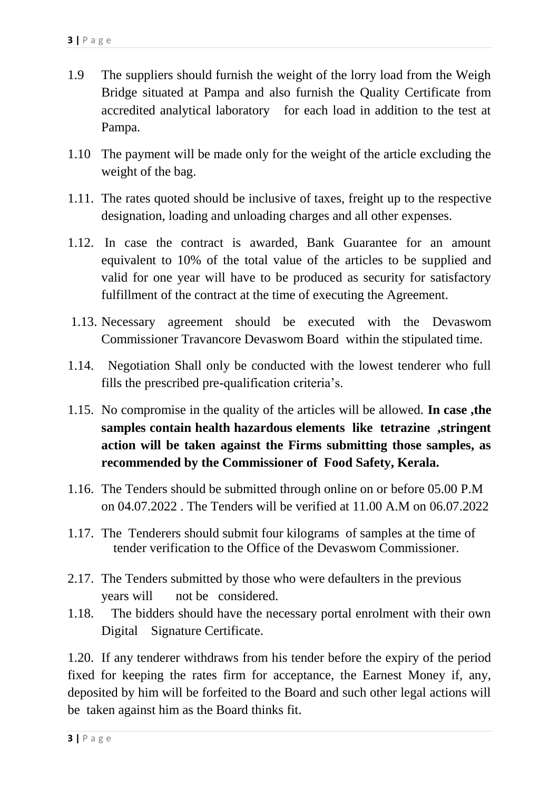- 1.9 The suppliers should furnish the weight of the lorry load from the Weigh Bridge situated at Pampa and also furnish the Quality Certificate from accredited analytical laboratory for each load in addition to the test at Pampa.
- 1.10 The payment will be made only for the weight of the article excluding the weight of the bag.
- 1.11. The rates quoted should be inclusive of taxes, freight up to the respective designation, loading and unloading charges and all other expenses.
- 1.12. In case the contract is awarded, Bank Guarantee for an amount equivalent to 10% of the total value of the articles to be supplied and valid for one year will have to be produced as security for satisfactory fulfillment of the contract at the time of executing the Agreement.
- 1.13. Necessary agreement should be executed with the Devaswom Commissioner Travancore Devaswom Board within the stipulated time.
- 1.14. Negotiation Shall only be conducted with the lowest tenderer who full fills the prescribed pre-qualification criteria's.
- 1.15. No compromise in the quality of the articles will be allowed. **In case ,the samples contain health hazardous elements like tetrazine ,stringent action will be taken against the Firms submitting those samples, as recommended by the Commissioner of Food Safety, Kerala.**
- 1.16. The Tenders should be submitted through online on or before 05.00 P.M on 04.07.2022 . The Tenders will be verified at 11.00 A.M on 06.07.2022
- 1.17. The Tenderers should submit four kilograms of samples at the time of tender verification to the Office of the Devaswom Commissioner.
- 2.17. The Tenders submitted by those who were defaulters in the previous years will not be considered.
- 1.18. The bidders should have the necessary portal enrolment with their own Digital Signature Certificate.

1.20. If any tenderer withdraws from his tender before the expiry of the period fixed for keeping the rates firm for acceptance, the Earnest Money if, any, deposited by him will be forfeited to the Board and such other legal actions will be taken against him as the Board thinks fit.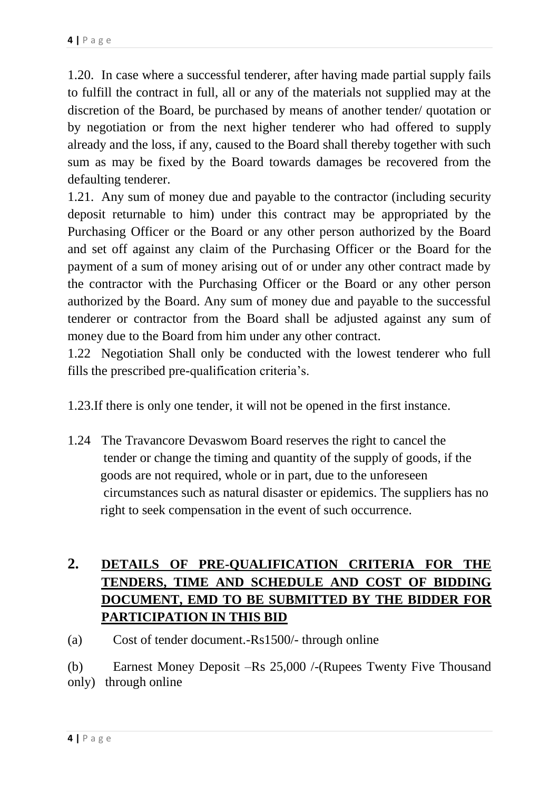1.20. In case where a successful tenderer, after having made partial supply fails to fulfill the contract in full, all or any of the materials not supplied may at the discretion of the Board, be purchased by means of another tender/ quotation or by negotiation or from the next higher tenderer who had offered to supply already and the loss, if any, caused to the Board shall thereby together with such sum as may be fixed by the Board towards damages be recovered from the defaulting tenderer.

1.21. Any sum of money due and payable to the contractor (including security deposit returnable to him) under this contract may be appropriated by the Purchasing Officer or the Board or any other person authorized by the Board and set off against any claim of the Purchasing Officer or the Board for the payment of a sum of money arising out of or under any other contract made by the contractor with the Purchasing Officer or the Board or any other person authorized by the Board. Any sum of money due and payable to the successful tenderer or contractor from the Board shall be adjusted against any sum of money due to the Board from him under any other contract.

1.22 Negotiation Shall only be conducted with the lowest tenderer who full fills the prescribed pre-qualification criteria's.

- 1.23.If there is only one tender, it will not be opened in the first instance.
- 1.24 The Travancore Devaswom Board reserves the right to cancel the tender or change the timing and quantity of the supply of goods, if the goods are not required, whole or in part, due to the unforeseen circumstances such as natural disaster or epidemics. The suppliers has no right to seek compensation in the event of such occurrence.

# **2. DETAILS OF PRE-QUALIFICATION CRITERIA FOR THE TENDERS, TIME AND SCHEDULE AND COST OF BIDDING DOCUMENT, EMD TO BE SUBMITTED BY THE BIDDER FOR PARTICIPATION IN THIS BID**

(a) Cost of tender document.-Rs1500/- through online

(b) Earnest Money Deposit –Rs 25,000 /-(Rupees Twenty Five Thousand only) through online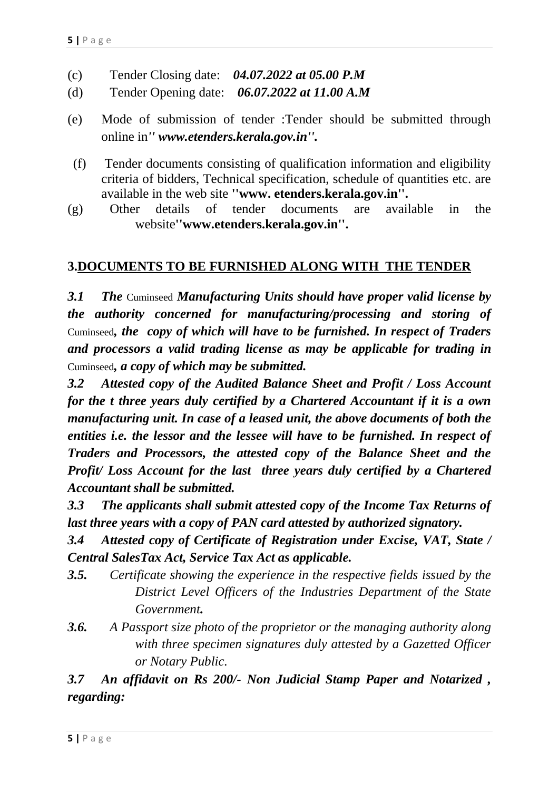- (c) Tender Closing date: *04.07.2022 at 05.00 P.M*
- (d) Tender Opening date: *06.07.2022 at 11.00 A.M*
- (e) Mode of submission of tender :Tender should be submitted through online in*'' www.etenders.kerala.gov.in''.*
- (f) Tender documents consisting of qualification information and eligibility criteria of bidders, Technical specification, schedule of quantities etc. are available in the web site **''www. etenders.kerala.gov.in''.**
- (g) Other details of tender documents are available in the website**''www.etenders.kerala.gov.in''.**

## **3.DOCUMENTS TO BE FURNISHED ALONG WITH THE TENDER**

*3.1 The* Cuminseed *Manufacturing Units should have proper valid license by the authority concerned for manufacturing/processing and storing of*  Cuminseed*, the copy of which will have to be furnished. In respect of Traders and processors a valid trading license as may be applicable for trading in*  Cuminseed*, a copy of which may be submitted.*

*3.2 Attested copy of the Audited Balance Sheet and Profit / Loss Account for the t three years duly certified by a Chartered Accountant if it is a own manufacturing unit. In case of a leased unit, the above documents of both the entities i.e. the lessor and the lessee will have to be furnished. In respect of Traders and Processors, the attested copy of the Balance Sheet and the Profit/ Loss Account for the last three years duly certified by a Chartered Accountant shall be submitted.*

*3.3 The applicants shall submit attested copy of the Income Tax Returns of last three years with a copy of PAN card attested by authorized signatory.*

*3.4 Attested copy of Certificate of Registration under Excise, VAT, State / Central SalesTax Act, Service Tax Act as applicable.*

- *3.5. Certificate showing the experience in the respective fields issued by the District Level Officers of the Industries Department of the State Government.*
- *3.6. A Passport size photo of the proprietor or the managing authority along with three specimen signatures duly attested by a Gazetted Officer or Notary Public.*

*3.7 An affidavit on Rs 200/- Non Judicial Stamp Paper and Notarized , regarding:*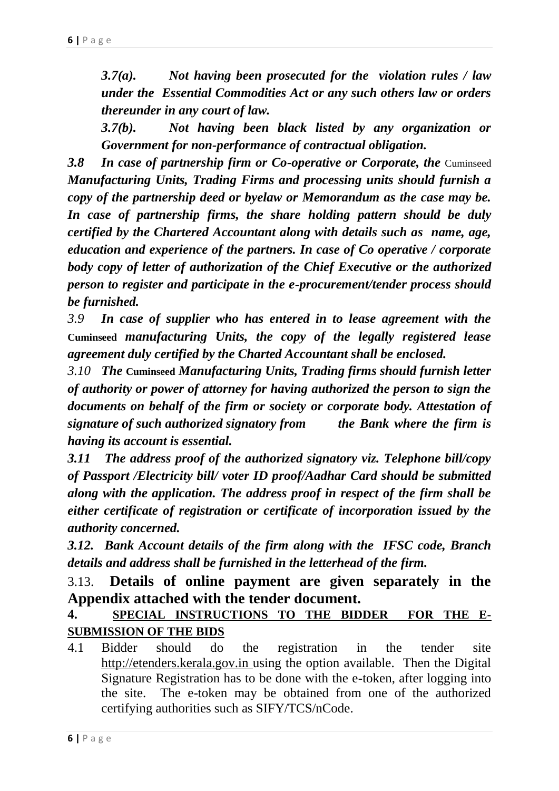*3.7(a). Not having been prosecuted for the violation rules / law under the Essential Commodities Act or any such others law or orders thereunder in any court of law.*

*3.7(b). Not having been black listed by any organization or Government for non-performance of contractual obligation.*

**3.8 In case of partnership firm or Co-operative or Corporate, the Cuminseed** *Manufacturing Units, Trading Firms and processing units should furnish a copy of the partnership deed or byelaw or Memorandum as the case may be. In case of partnership firms, the share holding pattern should be duly certified by the Chartered Accountant along with details such as name, age, education and experience of the partners. In case of Co operative / corporate body copy of letter of authorization of the Chief Executive or the authorized person to register and participate in the e-procurement/tender process should be furnished.*

*3.9 In case of supplier who has entered in to lease agreement with the*  **Cuminseed** *manufacturing Units, the copy of the legally registered lease agreement duly certified by the Charted Accountant shall be enclosed.*

*3.10 The* **Cuminseed** *Manufacturing Units, Trading firms should furnish letter of authority or power of attorney for having authorized the person to sign the documents on behalf of the firm or society or corporate body. Attestation of signature of such authorized signatory from the Bank where the firm is having its account is essential.*

*3.11 The address proof of the authorized signatory viz. Telephone bill/copy of Passport /Electricity bill/ voter ID proof/Aadhar Card should be submitted along with the application. The address proof in respect of the firm shall be either certificate of registration or certificate of incorporation issued by the authority concerned.*

*3.12. Bank Account details of the firm along with the IFSC code, Branch details and address shall be furnished in the letterhead of the firm.*

3.13. **Details of online payment are given separately in the Appendix attached with the tender document.** 

# **4. SPECIAL INSTRUCTIONS TO THE BIDDER FOR THE E-SUBMISSION OF THE BIDS**

4.1 Bidder should do the registration in the tender site http://etenders.kerala.gov.in using the option available. Then the Digital Signature Registration has to be done with the e-token, after logging into the site. The e-token may be obtained from one of the authorized certifying authorities such as SIFY/TCS/nCode.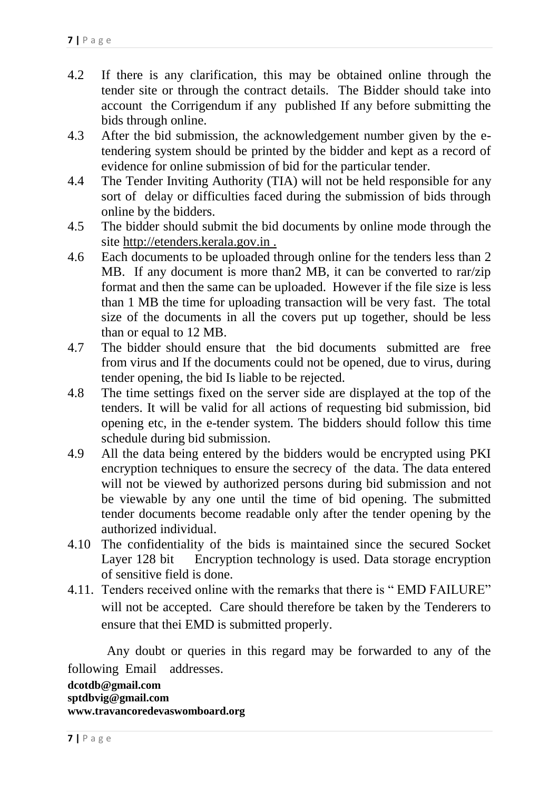- 4.2 If there is any clarification, this may be obtained online through the tender site or through the contract details. The Bidder should take into account the Corrigendum if any published If any before submitting the bids through online.
- 4.3 After the bid submission, the acknowledgement number given by the etendering system should be printed by the bidder and kept as a record of evidence for online submission of bid for the particular tender.
- 4.4 The Tender Inviting Authority (TIA) will not be held responsible for any sort of delay or difficulties faced during the submission of bids through online by the bidders.
- 4.5 The bidder should submit the bid documents by online mode through the site http://etenders.kerala.gov.in .
- 4.6 Each documents to be uploaded through online for the tenders less than 2 MB. If any document is more than  $\sum_{n=1}^{\infty}$  MB, it can be converted to rar/zip format and then the same can be uploaded. However if the file size is less than 1 MB the time for uploading transaction will be very fast. The total size of the documents in all the covers put up together, should be less than or equal to 12 MB.
- 4.7 The bidder should ensure that the bid documents submitted are free from virus and If the documents could not be opened, due to virus, during tender opening, the bid Is liable to be rejected.
- 4.8 The time settings fixed on the server side are displayed at the top of the tenders. It will be valid for all actions of requesting bid submission, bid opening etc, in the e-tender system. The bidders should follow this time schedule during bid submission.
- 4.9 All the data being entered by the bidders would be encrypted using PKI encryption techniques to ensure the secrecy of the data. The data entered will not be viewed by authorized persons during bid submission and not be viewable by any one until the time of bid opening. The submitted tender documents become readable only after the tender opening by the authorized individual.
- 4.10 The confidentiality of the bids is maintained since the secured Socket Layer 128 bit Encryption technology is used. Data storage encryption of sensitive field is done.
- 4.11. Tenders received online with the remarks that there is " EMD FAILURE" will not be accepted. Care should therefore be taken by the Tenderers to ensure that thei EMD is submitted properly.

 Any doubt or queries in this regard may be forwarded to any of the following Email addresses.

**dcotdb@gmail.com sptdbvig@gmail.com www.travancoredevaswomboard.org**